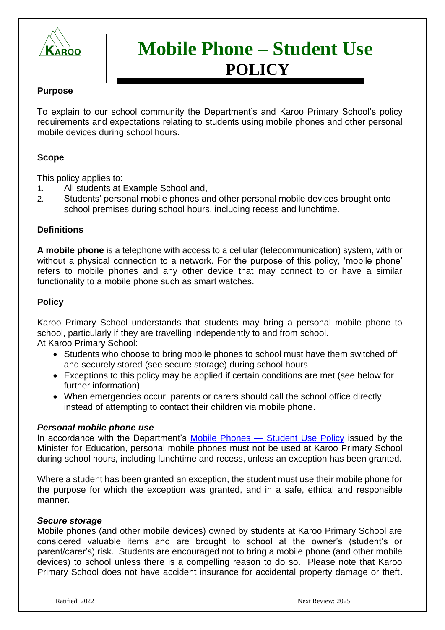

# **Mobile Phone – Student Use POLICY**

## **Purpose**

To explain to our school community the Department's and Karoo Primary School's policy requirements and expectations relating to students using mobile phones and other personal mobile devices during school hours.

## **Scope**

This policy applies to:

- 1. All students at Example School and,
- 2. Students' personal mobile phones and other personal mobile devices brought onto school premises during school hours, including recess and lunchtime.

## **Definitions**

**A mobile phone** is a telephone with access to a cellular (telecommunication) system, with or without a physical connection to a network. For the purpose of this policy, 'mobile phone' refers to mobile phones and any other device that may connect to or have a similar functionality to a mobile phone such as smart watches.

#### **Policy**

Karoo Primary School understands that students may bring a personal mobile phone to school, particularly if they are travelling independently to and from school. At Karoo Primary School:

- Students who choose to bring mobile phones to school must have them switched off and securely stored (see secure storage) during school hours
- Exceptions to this policy may be applied if certain conditions are met (see below for further information)
- When emergencies occur, parents or carers should call the school office directly instead of attempting to contact their children via mobile phone.

#### *Personal mobile phone use*

In accordance with the Department's Mobile Phones — [Student Use Policy](https://www2.education.vic.gov.au/pal/students-using-mobile-phones/policy) issued by the Minister for Education, personal mobile phones must not be used at Karoo Primary School during school hours, including lunchtime and recess, unless an exception has been granted.

Where a student has been granted an exception, the student must use their mobile phone for the purpose for which the exception was granted, and in a safe, ethical and responsible manner.

#### *Secure storage*

Mobile phones (and other mobile devices) owned by students at Karoo Primary School are considered valuable items and are brought to school at the owner's (student's or parent/carer's) risk. Students are encouraged not to bring a mobile phone (and other mobile devices) to school unless there is a compelling reason to do so. Please note that Karoo Primary School does not have accident insurance for accidental property damage or theft.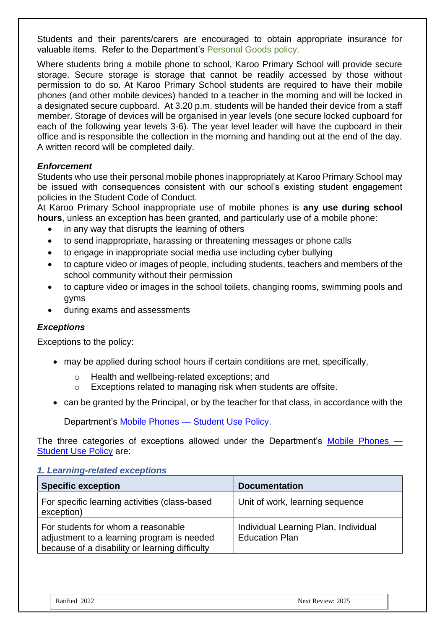Students and their parents/carers are encouraged to obtain appropriate insurance for valuable items. Refer to the Department's [Personal Goods](https://www.education.vic.gov.au/school/principals/spag/governance/pages/personalgoods.aspx) policy.

Where students bring a mobile phone to school, Karoo Primary School will provide secure storage. Secure storage is storage that cannot be readily accessed by those without permission to do so. At Karoo Primary School students are required to have their mobile phones (and other mobile devices) handed to a teacher in the morning and will be locked in a designated secure cupboard. At 3.20 p.m. students will be handed their device from a staff member. Storage of devices will be organised in year levels (one secure locked cupboard for each of the following year levels 3-6). The year level leader will have the cupboard in their office and is responsible the collection in the morning and handing out at the end of the day. A written record will be completed daily.

## *Enforcement*

Students who use their personal mobile phones inappropriately at Karoo Primary School may be issued with consequences consistent with our school's existing student engagement policies in the Student Code of Conduct.

At Karoo Primary School inappropriate use of mobile phones is **any use during school hours**, unless an exception has been granted, and particularly use of a mobile phone:

- in any way that disrupts the learning of others
- to send inappropriate, harassing or threatening messages or phone calls
- to engage in inappropriate social media use including cyber bullying
- to capture video or images of people, including students, teachers and members of the school community without their permission
- to capture video or images in the school toilets, changing rooms, swimming pools and gyms
- during exams and assessments

#### *Exceptions*

Exceptions to the policy:

- may be applied during school hours if certain conditions are met, specifically,
	- o Health and wellbeing-related exceptions; and
	- o Exceptions related to managing risk when students are offsite.
- can be granted by the Principal, or by the teacher for that class, in accordance with the

Department's Mobile Phones — [Student Use Policy.](https://www2.education.vic.gov.au/pal/students-using-mobile-phones/policy)

The three categories of exceptions allowed under the Department's [Mobile Phones —](https://www2.education.vic.gov.au/pal/students-using-mobile-phones/policy) [Student Use Policy](https://www2.education.vic.gov.au/pal/students-using-mobile-phones/policy) are:

#### *1. Learning-related exceptions*

| <b>Specific exception</b>                                                                                                          | <b>Documentation</b>                                          |
|------------------------------------------------------------------------------------------------------------------------------------|---------------------------------------------------------------|
| For specific learning activities (class-based<br>exception)                                                                        | Unit of work, learning sequence                               |
| For students for whom a reasonable<br>adjustment to a learning program is needed<br>because of a disability or learning difficulty | Individual Learning Plan, Individual<br><b>Education Plan</b> |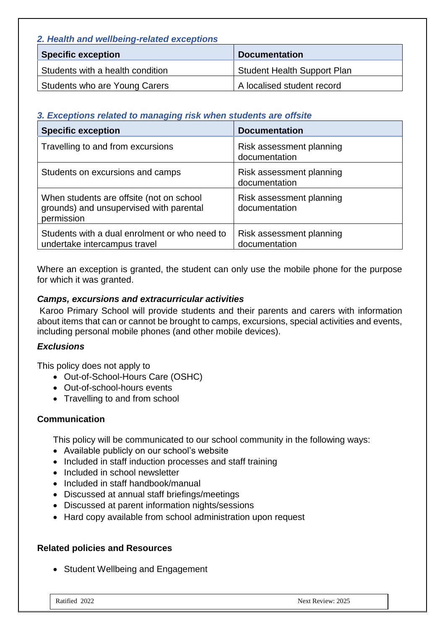| 2. Health and wellbeing-related exceptions |                                    |
|--------------------------------------------|------------------------------------|
| <b>Specific exception</b>                  | <b>Documentation</b>               |
| Students with a health condition           | <b>Student Health Support Plan</b> |
| Students who are Young Carers              | A localised student record         |

## *3. Exceptions related to managing risk when students are offsite*

| <b>Specific exception</b>                                                                         | <b>Documentation</b>                      |
|---------------------------------------------------------------------------------------------------|-------------------------------------------|
| Travelling to and from excursions                                                                 | Risk assessment planning<br>documentation |
| Students on excursions and camps                                                                  | Risk assessment planning<br>documentation |
| When students are offsite (not on school<br>grounds) and unsupervised with parental<br>permission | Risk assessment planning<br>documentation |
| Students with a dual enrolment or who need to<br>undertake intercampus travel                     | Risk assessment planning<br>documentation |

Where an exception is granted, the student can only use the mobile phone for the purpose for which it was granted.

#### *Camps, excursions and extracurricular activities*

Karoo Primary School will provide students and their parents and carers with information about items that can or cannot be brought to camps, excursions, special activities and events, including personal mobile phones (and other mobile devices).

#### *Exclusions*

This policy does not apply to

- Out-of-School-Hours Care (OSHC)
- Out-of-school-hours events
- Travelling to and from school

## **Communication**

This policy will be communicated to our school community in the following ways:

- Available publicly on our school's website
- Included in staff induction processes and staff training
- Included in school newsletter
- Included in staff handbook/manual
- Discussed at annual staff briefings/meetings
- Discussed at parent information nights/sessions
- Hard copy available from school administration upon request

## **Related policies and Resources**

• Student Wellbeing and Engagement